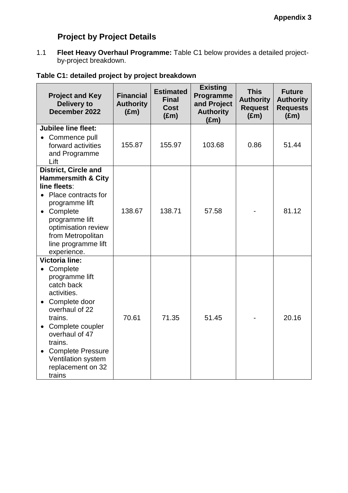# **Project by Project Details**

1.1 **Fleet Heavy Overhaul Programme:** Table C1 below provides a detailed projectby-project breakdown.

## **Table C1: detailed project by project breakdown**

| <b>Project and Key</b><br><b>Delivery to</b><br>December 2022                                                                                                                                                                                                    | <b>Financial</b><br><b>Authority</b><br>$(\text{Em})$ | <b>Estimated</b><br><b>Final</b><br>Cost<br>$(\text{Em})$ | <b>Existing</b><br>Programme<br>and Project<br><b>Authority</b><br>(£m) | <b>This</b><br><b>Authority</b><br><b>Request</b><br>$(\text{Em})$ | <b>Future</b><br><b>Authority</b><br><b>Requests</b><br>$(\text{Em})$ |
|------------------------------------------------------------------------------------------------------------------------------------------------------------------------------------------------------------------------------------------------------------------|-------------------------------------------------------|-----------------------------------------------------------|-------------------------------------------------------------------------|--------------------------------------------------------------------|-----------------------------------------------------------------------|
| <b>Jubilee line fleet:</b><br>• Commence pull<br>forward activities<br>and Programme<br>Lift                                                                                                                                                                     | 155.87                                                | 155.97                                                    | 103.68                                                                  | 0.86                                                               | 51.44                                                                 |
| <b>District, Circle and</b><br><b>Hammersmith &amp; City</b><br>line fleets:<br>Place contracts for<br>programme lift<br>• Complete<br>programme lift<br>optimisation review<br>from Metropolitan<br>line programme lift<br>experience.                          | 138.67                                                | 138.71                                                    | 57.58                                                                   |                                                                    | 81.12                                                                 |
| <b>Victoria line:</b><br>Complete<br>programme lift<br>catch back<br>activities.<br>Complete door<br>overhaul of 22<br>trains.<br>Complete coupler<br>overhaul of 47<br>trains.<br><b>Complete Pressure</b><br>Ventilation system<br>replacement on 32<br>trains | 70.61                                                 | 71.35                                                     | 51.45                                                                   |                                                                    | 20.16                                                                 |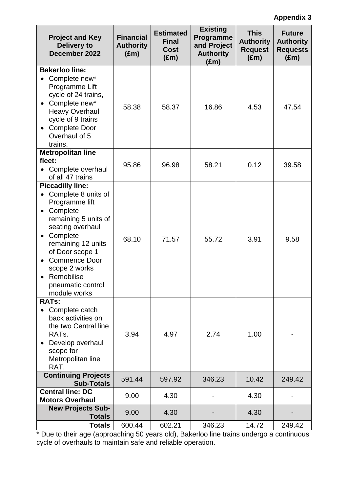## **Appendix 3**

| <b>Project and Key</b><br><b>Delivery to</b><br>December 2022                                                                                                                                                                                                                                                    | <b>Financial</b><br><b>Authority</b><br>$(\text{Em})$ | <b>Estimated</b><br><b>Final</b><br><b>Cost</b><br>$(\text{Em})$ | <b>Existing</b><br>Programme<br>and Project<br><b>Authority</b><br>(£m) | <b>This</b><br><b>Authority</b><br><b>Request</b><br>$(\text{Em})$ | <b>Future</b><br><b>Authority</b><br><b>Requests</b><br>$(\text{Em})$ |
|------------------------------------------------------------------------------------------------------------------------------------------------------------------------------------------------------------------------------------------------------------------------------------------------------------------|-------------------------------------------------------|------------------------------------------------------------------|-------------------------------------------------------------------------|--------------------------------------------------------------------|-----------------------------------------------------------------------|
| <b>Bakerloo line:</b><br>Complete new*<br>Programme Lift<br>cycle of 24 trains,<br>Complete new*<br>$\bullet$<br><b>Heavy Overhaul</b><br>cycle of 9 trains<br><b>Complete Door</b><br>$\bullet$<br>Overhaul of 5<br>trains.                                                                                     | 58.38                                                 | 58.37                                                            | 16.86                                                                   | 4.53                                                               | 47.54                                                                 |
| <b>Metropolitan line</b><br>fleet:<br>Complete overhaul<br>of all 47 trains                                                                                                                                                                                                                                      | 95.86                                                 | 96.98                                                            | 58.21                                                                   | 0.12                                                               | 39.58                                                                 |
| <b>Piccadilly line:</b><br>Complete 8 units of<br>Programme lift<br>Complete<br>$\bullet$<br>remaining 5 units of<br>seating overhaul<br>Complete<br>$\bullet$<br>remaining 12 units<br>of Door scope 1<br><b>Commence Door</b><br>$\bullet$<br>scope 2 works<br>Remobilise<br>pneumatic control<br>module works | 68.10                                                 | 71.57                                                            | 55.72                                                                   | 3.91                                                               | 9.58                                                                  |
| <b>RATs:</b><br>• Complete catch<br>back activities on<br>the two Central line<br>RAT <sub>s</sub> .<br>Develop overhaul<br>scope for<br>Metropolitan line<br>RAT.                                                                                                                                               | 3.94                                                  | 4.97                                                             | 2.74                                                                    | 1.00                                                               |                                                                       |
| <b>Continuing Projects</b><br><b>Sub-Totals</b>                                                                                                                                                                                                                                                                  | 591.44                                                | 597.92                                                           | 346.23                                                                  | 10.42                                                              | 249.42                                                                |
| <b>Central line: DC</b><br><b>Motors Overhaul</b>                                                                                                                                                                                                                                                                | 9.00                                                  | 4.30                                                             |                                                                         | 4.30                                                               |                                                                       |
| <b>New Projects Sub-</b><br>Totals                                                                                                                                                                                                                                                                               | 9.00                                                  | 4.30                                                             |                                                                         | 4.30                                                               |                                                                       |
| <b>Totals</b>                                                                                                                                                                                                                                                                                                    | 600.44                                                | 602.21                                                           | 346.23                                                                  | 14.72                                                              | 249.42                                                                |

\* Due to their age (approaching 50 years old), Bakerloo line trains undergo a continuous cycle of overhauls to maintain safe and reliable operation.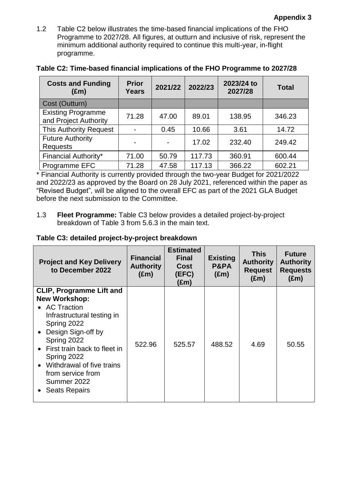1.2 Table C2 below illustrates the time-based financial implications of the FHO Programme to 2027/28. All figures, at outturn and inclusive of risk, represent the minimum additional authority required to continue this multi-year, in-flight programme.

| <b>Costs and Funding</b><br>$(\text{Em})$          | <b>Prior</b><br>Years | 2021/22 | 2022/23 | 2023/24 to<br>2027/28 | <b>Total</b> |
|----------------------------------------------------|-----------------------|---------|---------|-----------------------|--------------|
| Cost (Outturn)                                     |                       |         |         |                       |              |
| <b>Existing Programme</b><br>and Project Authority | 71.28                 | 47.00   | 89.01   | 138.95                | 346.23       |
| <b>This Authority Request</b>                      |                       | 0.45    | 10.66   | 3.61                  | 14.72        |
| <b>Future Authority</b><br><b>Requests</b>         |                       |         | 17.02   | 232.40                | 249.42       |
| <b>Financial Authority*</b>                        | 71.00                 | 50.79   | 117.73  | 360.91                | 600.44       |
| Programme EFC                                      | 71.28                 | 47.58   | 117.13  | 366.22                | 602.21       |

|  |  | Table C2: Time-based financial implications of the FHO Programme to 2027/28 |  |
|--|--|-----------------------------------------------------------------------------|--|
|  |  |                                                                             |  |

\* Financial Authority is currently provided through the two-year Budget for 2021/2022 and 2022/23 as approved by the Board on 28 July 2021, referenced within the paper as "Revised Budget", will be aligned to the overall EFC as part of the 2021 GLA Budget before the next submission to the Committee.

1.3 **Fleet Programme:** Table C3 below provides a detailed project-by-project breakdown of Table 3 from 5.6.3 in the main text.

### **Table C3: detailed project-by-project breakdown**

| (£m)                                                                                                                                                                                                                                                                                                                                                    | <b>Project and Key Delivery</b><br>to December 2022 |
|---------------------------------------------------------------------------------------------------------------------------------------------------------------------------------------------------------------------------------------------------------------------------------------------------------------------------------------------------------|-----------------------------------------------------|
| <b>CLIP, Programme Lift and</b><br><b>New Workshop:</b><br>• AC Traction<br>Infrastructural testing in<br>Spring 2022<br>• Design Sign-off by<br>Spring 2022<br>522.96<br>488.52<br>525.57<br>4.69<br>50.55<br>• First train back to fleet in<br>Spring 2022<br>• Withdrawal of five trains<br>from service from<br>Summer 2022<br><b>Seats Repairs</b> |                                                     |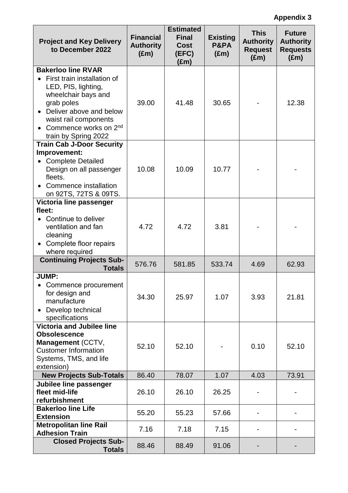## **Appendix 3**

| <b>Project and Key Delivery</b><br>to December 2022                                                                                                                                                                                   | <b>Estimated</b><br><b>Financial</b><br><b>Final</b><br><b>Authority</b><br><b>Cost</b><br>$(\text{Em})$<br>(EFC)<br>(£m) |        | <b>Existing</b><br>P&PA<br>$(\text{Em})$ | <b>This</b><br><b>Authority</b><br><b>Request</b><br>$(\text{Em})$ | <b>Future</b><br><b>Authority</b><br><b>Requests</b><br>$(\text{Em})$ |
|---------------------------------------------------------------------------------------------------------------------------------------------------------------------------------------------------------------------------------------|---------------------------------------------------------------------------------------------------------------------------|--------|------------------------------------------|--------------------------------------------------------------------|-----------------------------------------------------------------------|
| <b>Bakerloo line RVAR</b><br>First train installation of<br>LED, PIS, lighting,<br>wheelchair bays and<br>grab poles<br>Deliver above and below<br>waist rail components<br>Commence works on 2 <sup>nd</sup><br>train by Spring 2022 | 39.00                                                                                                                     | 41.48  | 30.65                                    |                                                                    | 12.38                                                                 |
| <b>Train Cab J-Door Security</b><br>Improvement:<br><b>Complete Detailed</b><br>Design on all passenger<br>fleets.<br>Commence installation<br>$\bullet$<br>on 92TS, 72TS & 09TS.                                                     | 10.08                                                                                                                     | 10.09  | 10.77                                    |                                                                    |                                                                       |
| Victoria line passenger<br>fleet:<br>• Continue to deliver<br>ventilation and fan<br>cleaning<br>Complete floor repairs<br>where required                                                                                             | 4.72                                                                                                                      | 4.72   | 3.81                                     |                                                                    |                                                                       |
| <b>Continuing Projects Sub-</b><br><b>Totals</b>                                                                                                                                                                                      | 576.76                                                                                                                    | 581.85 | 533.74                                   | 4.69                                                               | 62.93                                                                 |
| <b>JUMP:</b><br>• Commence procurement<br>for design and<br>manufacture<br>Develop technical<br>$\bullet$<br>specifications                                                                                                           | 34.30                                                                                                                     | 25.97  | 1.07                                     | 3.93                                                               | 21.81                                                                 |
| <b>Victoria and Jubilee line</b><br><b>Obsolescence</b><br>Management (CCTV,<br><b>Customer Information</b><br>Systems, TMS, and life<br>extension)                                                                                   | 52.10                                                                                                                     | 52.10  |                                          | 0.10                                                               | 52.10                                                                 |
| <b>New Projects Sub-Totals</b>                                                                                                                                                                                                        | 86.40                                                                                                                     | 78.07  | 1.07                                     | 4.03                                                               | 73.91                                                                 |
| Jubilee line passenger<br>fleet mid-life<br>refurbishment                                                                                                                                                                             | 26.10                                                                                                                     | 26.10  | 26.25                                    |                                                                    |                                                                       |
| <b>Bakerloo line Life</b><br><b>Extension</b>                                                                                                                                                                                         | 55.20                                                                                                                     | 55.23  | 57.66                                    |                                                                    |                                                                       |
| <b>Metropolitan line Rail</b><br><b>Adhesion Train</b>                                                                                                                                                                                | 7.16                                                                                                                      | 7.18   | 7.15                                     |                                                                    |                                                                       |
| <b>Closed Projects Sub-</b><br><b>Totals</b>                                                                                                                                                                                          | 88.46                                                                                                                     | 88.49  | 91.06                                    |                                                                    |                                                                       |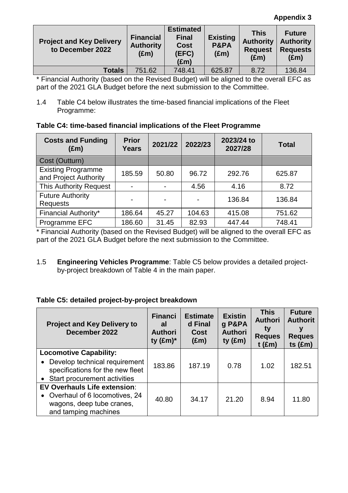#### **Appendix 3**

| <b>Project and Key Delivery</b><br>to December 2022 | <b>Financial</b><br><b>Authority</b><br>$(\text{Em})$ | <b>Estimated</b><br><b>Final</b><br><b>Cost</b><br>(EFC)<br>(£m) | <b>Existing</b><br>P&PA<br>(£m) | This<br><b>Authority</b><br><b>Request</b><br>$(\text{Em})$ | <b>Future</b><br><b>Authority</b><br><b>Requests</b><br>$(\text{Em})$ |
|-----------------------------------------------------|-------------------------------------------------------|------------------------------------------------------------------|---------------------------------|-------------------------------------------------------------|-----------------------------------------------------------------------|
| <b>Totals</b>                                       | 751.62                                                | 748.41                                                           | 625.87                          | 8.72                                                        | 136.84                                                                |

\* Financial Authority (based on the Revised Budget) will be aligned to the overall EFC as part of the 2021 GLA Budget before the next submission to the Committee.

1.4 Table C4 below illustrates the time-based financial implications of the Fleet Programme:

### **Table C4: time-based financial implications of the Fleet Programme**

| <b>Costs and Funding</b><br>$(\text{Em})$          | <b>Prior</b><br><b>Years</b> | 2021/22 | 2022/23 | 2023/24 to<br>2027/28 | <b>Total</b> |
|----------------------------------------------------|------------------------------|---------|---------|-----------------------|--------------|
| Cost (Outturn)                                     |                              |         |         |                       |              |
| <b>Existing Programme</b><br>and Project Authority | 185.59                       | 50.80   | 96.72   | 292.76                | 625.87       |
| <b>This Authority Request</b>                      |                              |         | 4.56    | 4.16                  | 8.72         |
| <b>Future Authority</b><br>Requests                |                              |         |         | 136.84                | 136.84       |
| Financial Authority*                               | 186.64                       | 45.27   | 104.63  | 415.08                | 751.62       |
| Programme EFC                                      | 186.60                       | 31.45   | 82.93   | 447.44                | 748.41       |

\* Financial Authority (based on the Revised Budget) will be aligned to the overall EFC as part of the 2021 GLA Budget before the next submission to the Committee.

1.5 **Engineering Vehicles Programme**: Table C5 below provides a detailed projectby-project breakdown of Table 4 in the main paper.

### **Table C5: detailed project-by-project breakdown**

| <b>Project and Key Delivery to</b><br>December 2022                                                                                    | <b>Financi</b><br>al<br><b>Authori</b><br>ty $(\text{Em})^*$ | <b>Estimate</b><br>d Final<br><b>Cost</b><br>$(\text{Em})$ | <b>Existin</b><br>g P&PA<br><b>Authori</b><br>$ty$ (£m) | <b>This</b><br><b>Authori</b><br>ty<br><b>Reques</b><br>$t$ (£m) | <b>Future</b><br><b>Authorit</b><br>۷<br><b>Reques</b><br>ts $(\text{Em})$ |
|----------------------------------------------------------------------------------------------------------------------------------------|--------------------------------------------------------------|------------------------------------------------------------|---------------------------------------------------------|------------------------------------------------------------------|----------------------------------------------------------------------------|
| <b>Locomotive Capability:</b><br>• Develop technical requirement<br>specifications for the new fleet<br>• Start procurement activities | 183.86                                                       | 187.19                                                     | 0.78                                                    | 1.02                                                             | 182.51                                                                     |
| <b>EV Overhauls Life extension:</b><br>• Overhaul of 6 locomotives, 24<br>wagons, deep tube cranes,<br>and tamping machines            | 40.80                                                        | 34.17                                                      | 21.20                                                   | 8.94                                                             | 11.80                                                                      |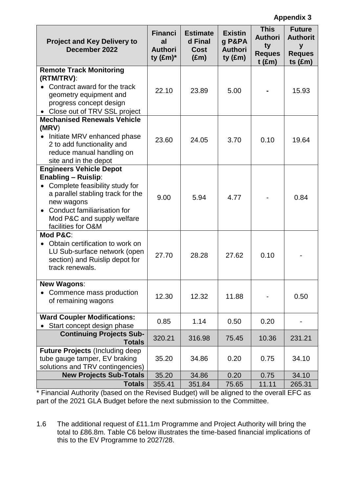| <b>Project and Key Delivery to</b><br>December 2022                                                                                                                    | <b>Financi</b><br>al<br><b>Authori</b><br>ty $(\text{Em})^*$ | <b>Estimate</b><br>d Final<br><b>Cost</b><br>$(\text{Em})$ | <b>Existin</b><br>g P&PA<br><b>Authori</b><br>ty $(\text{Em})$ | <b>This</b><br><b>Authori</b><br>ty<br><b>Reques</b><br>$t$ (£m) | <b>Future</b><br><b>Authorit</b><br>y<br><b>Reques</b><br>ts $(\text{Em})$ |
|------------------------------------------------------------------------------------------------------------------------------------------------------------------------|--------------------------------------------------------------|------------------------------------------------------------|----------------------------------------------------------------|------------------------------------------------------------------|----------------------------------------------------------------------------|
| <b>Remote Track Monitoring</b>                                                                                                                                         |                                                              |                                                            |                                                                |                                                                  |                                                                            |
| (RTM/TRV):                                                                                                                                                             |                                                              |                                                            |                                                                |                                                                  |                                                                            |
| Contract award for the track<br>$\bullet$<br>geometry equipment and<br>progress concept design<br>• Close out of TRV SSL project                                       | 22.10                                                        | 23.89                                                      | 5.00                                                           |                                                                  | 15.93                                                                      |
| <b>Mechanised Renewals Vehicle</b>                                                                                                                                     |                                                              |                                                            |                                                                |                                                                  |                                                                            |
| (MRV)                                                                                                                                                                  |                                                              |                                                            |                                                                |                                                                  |                                                                            |
| • Initiate MRV enhanced phase<br>2 to add functionality and<br>reduce manual handling on<br>site and in the depot                                                      | 23.60                                                        | 24.05                                                      | 3.70                                                           | 0.10                                                             | 19.64                                                                      |
| <b>Engineers Vehicle Depot</b><br><b>Enabling - Ruislip:</b>                                                                                                           |                                                              |                                                            |                                                                |                                                                  |                                                                            |
| Complete feasibility study for<br>a parallel stabling track for the<br>new wagons<br>• Conduct familiarisation for<br>Mod P&C and supply welfare<br>facilities for O&M | 9.00                                                         | 5.94                                                       | 4.77                                                           |                                                                  | 0.84                                                                       |
| Mod P&C:                                                                                                                                                               |                                                              |                                                            |                                                                |                                                                  |                                                                            |
| Obtain certification to work on<br>LU Sub-surface network (open<br>section) and Ruislip depot for<br>track renewals.                                                   | 27.70                                                        | 28.28                                                      | 27.62                                                          | 0.10                                                             |                                                                            |
| <b>New Wagons:</b>                                                                                                                                                     |                                                              |                                                            |                                                                |                                                                  |                                                                            |
| Commence mass production<br>of remaining wagons                                                                                                                        | 12.30                                                        | 12.32                                                      | 11.88                                                          |                                                                  | 0.50                                                                       |
| <b>Ward Coupler Modifications:</b><br>Start concept design phase                                                                                                       | 0.85                                                         | 1.14                                                       | 0.50                                                           | 0.20                                                             |                                                                            |
| <b>Continuing Projects Sub-</b><br><b>Totals</b>                                                                                                                       | 320.21                                                       | 316.98                                                     | 75.45                                                          | 10.36                                                            | 231.21                                                                     |
| <b>Future Projects (Including deep)</b><br>tube gauge tamper, EV braking<br>solutions and TRV contingencies)                                                           | 35.20                                                        | 34.86                                                      | 0.20                                                           | 0.75                                                             | 34.10                                                                      |
| <b>New Projects Sub-Totals</b>                                                                                                                                         | 35.20                                                        | 34.86                                                      | 0.20                                                           | 0.75                                                             | 34.10                                                                      |
| <b>Totals</b>                                                                                                                                                          | 355.41                                                       | 351.84                                                     | 75.65                                                          | 11.11                                                            | 265.31                                                                     |

\* Financial Authority (based on the Revised Budget) will be aligned to the overall EFC as part of the 2021 GLA Budget before the next submission to the Committee.

1.6 The additional request of £11.1m Programme and Project Authority will bring the total to £86.8m. Table C6 below illustrates the time-based financial implications of this to the EV Programme to 2027/28.